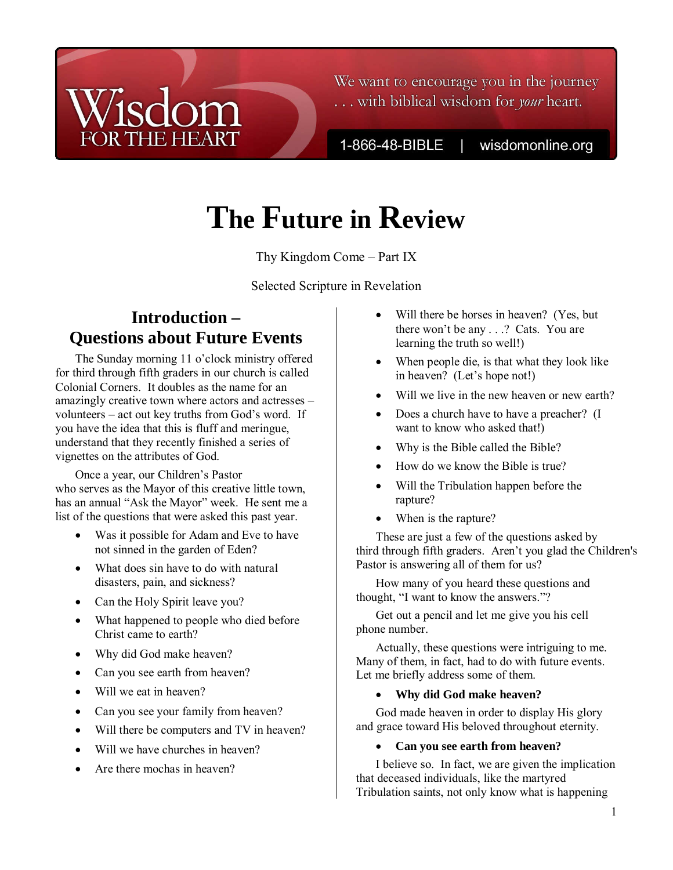# $|c|$ **THE HEART**

We want to encourage you in the journey ... with biblical wisdom for *your* heart.

1-866-48-BIBLE

wisdomonline.org

# **The Future in Review**

Thy Kingdom Come – Part IX

Selected Scripture in Revelation

## **Introduction – Questions about Future Events**

The Sunday morning 11 o'clock ministry offered for third through fifth graders in our church is called Colonial Corners. It doubles as the name for an amazingly creative town where actors and actresses – volunteers – act out key truths from God's word. If you have the idea that this is fluff and meringue, understand that they recently finished a series of vignettes on the attributes of God.

Once a year, our Children's Pastor who serves as the Mayor of this creative little town, has an annual "Ask the Mayor" week. He sent me a list of the questions that were asked this past year.

- Was it possible for Adam and Eve to have not sinned in the garden of Eden?
- What does sin have to do with natural disasters, pain, and sickness?
- Can the Holy Spirit leave you?
- What happened to people who died before Christ came to earth?
- Why did God make heaven?
- Can you see earth from heaven?
- Will we eat in heaven?
- Can you see your family from heaven?
- Will there be computers and TV in heaven?
- Will we have churches in heaven?
- Are there mochas in heaven?
- Will there be horses in heaven? (Yes, but there won't be any . . .? Cats. You are learning the truth so well!)
- When people die, is that what they look like in heaven? (Let's hope not!)
- Will we live in the new heaven or new earth?
- Does a church have to have a preacher? (I want to know who asked that!)
- Why is the Bible called the Bible?
- How do we know the Bible is true?
- Will the Tribulation happen before the rapture?
- When is the rapture?

These are just a few of the questions asked by third through fifth graders. Aren't you glad the Children's Pastor is answering all of them for us?

How many of you heard these questions and thought, "I want to know the answers."?

Get out a pencil and let me give you his cell phone number.

Actually, these questions were intriguing to me. Many of them, in fact, had to do with future events. Let me briefly address some of them.

### • **Why did God make heaven?**

God made heaven in order to display His glory and grace toward His beloved throughout eternity.

### • **Can you see earth from heaven?**

I believe so. In fact, we are given the implication that deceased individuals, like the martyred Tribulation saints, not only know what is happening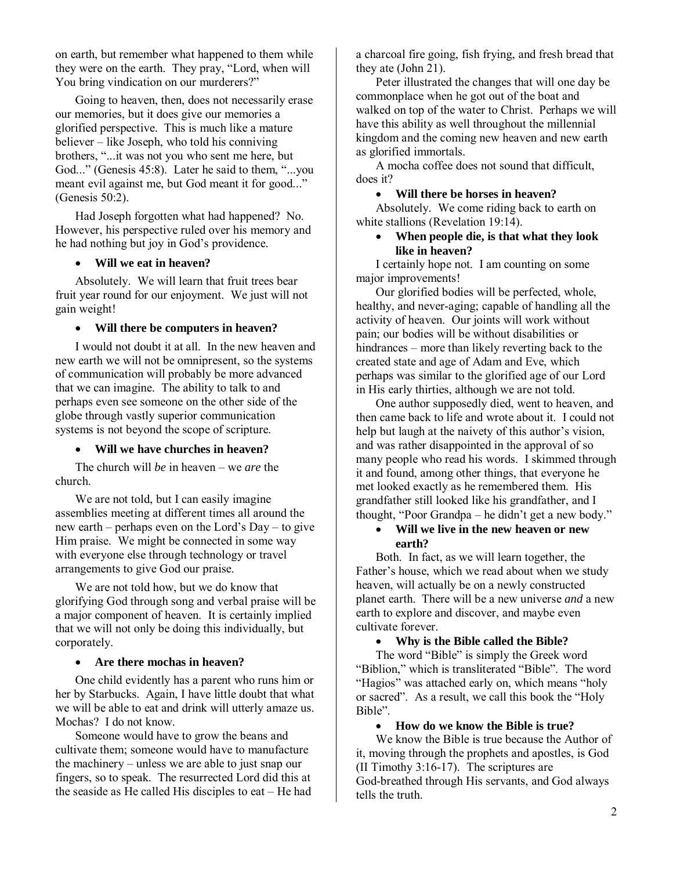on earth, but remember what happened to them while they were on the earth. They pray, "Lord, when will You bring vindication on our murderers?"

Going to heaven, then, does not necessarily erase our memories, but it does give our memories a glorified perspective. This is much like a mature believer – like Joseph, who told his conniving brothers, "...it was not you who sent me here, but God..." (Genesis 45:8). Later he said to them, "...you meant evil against me, but God meant it for good..." (Genesis 50:2).

Had Joseph forgotten what had happened? No. However, his perspective ruled over his memory and he had nothing but joy in God's providence.

#### • **Will we eat in heaven?**

Absolutely. We will learn that fruit trees bear fruit year round for our enjoyment. We just will not gain weight!

#### • **Will there be computers in heaven?**

I would not doubt it at all. In the new heaven and new earth we will not be omnipresent, so the systems of communication will probably be more advanced that we can imagine. The ability to talk to and perhaps even see someone on the other side of the globe through vastly superior communication systems is not beyond the scope of scripture.

#### • **Will we have churches in heaven?**

The church will *be* in heaven – we *are* the church.

We are not told, but I can easily imagine assemblies meeting at different times all around the new earth – perhaps even on the Lord's Day – to give Him praise. We might be connected in some way with everyone else through technology or travel arrangements to give God our praise.

We are not told how, but we do know that glorifying God through song and verbal praise will be a major component of heaven. It is certainly implied that we will not only be doing this individually, but corporately.

#### • **Are there mochas in heaven?**

One child evidently has a parent who runs him or her by Starbucks. Again, I have little doubt that what we will be able to eat and drink will utterly amaze us. Mochas? I do not know.

Someone would have to grow the beans and cultivate them; someone would have to manufacture the machinery – unless we are able to just snap our fingers, so to speak. The resurrected Lord did this at the seaside as He called His disciples to eat – He had

a charcoal fire going, fish frying, and fresh bread that they ate (John 21).

Peter illustrated the changes that will one day be commonplace when he got out of the boat and walked on top of the water to Christ. Perhaps we will have this ability as well throughout the millennial kingdom and the coming new heaven and new earth as glorified immortals.

A mocha coffee does not sound that difficult, does it?

#### • **Will there be horses in heaven?**

Absolutely. We come riding back to earth on white stallions (Revelation 19:14).

• **When people die, is that what they look like in heaven?** 

I certainly hope not. I am counting on some major improvements!

Our glorified bodies will be perfected, whole, healthy, and never-aging; capable of handling all the activity of heaven. Our joints will work without pain; our bodies will be without disabilities or hindrances – more than likely reverting back to the created state and age of Adam and Eve, which perhaps was similar to the glorified age of our Lord in His early thirties, although we are not told.

One author supposedly died, went to heaven, and then came back to life and wrote about it. I could not help but laugh at the naivety of this author's vision, and was rather disappointed in the approval of so many people who read his words. I skimmed through it and found, among other things, that everyone he met looked exactly as he remembered them. His grandfather still looked like his grandfather, and I thought, "Poor Grandpa – he didn't get a new body."

#### • **Will we live in the new heaven or new earth?**

Both. In fact, as we will learn together, the Father's house, which we read about when we study heaven, will actually be on a newly constructed planet earth. There will be a new universe *and* a new earth to explore and discover, and maybe even cultivate forever.

#### • **Why is the Bible called the Bible?**

The word "Bible" is simply the Greek word "Biblion," which is transliterated "Bible". The word "Hagios" was attached early on, which means "holy or sacred". As a result, we call this book the "Holy Bible".

#### • **How do we know the Bible is true?**

We know the Bible is true because the Author of it, moving through the prophets and apostles, is God (II Timothy 3:16-17). The scriptures are God-breathed through His servants, and God always tells the truth.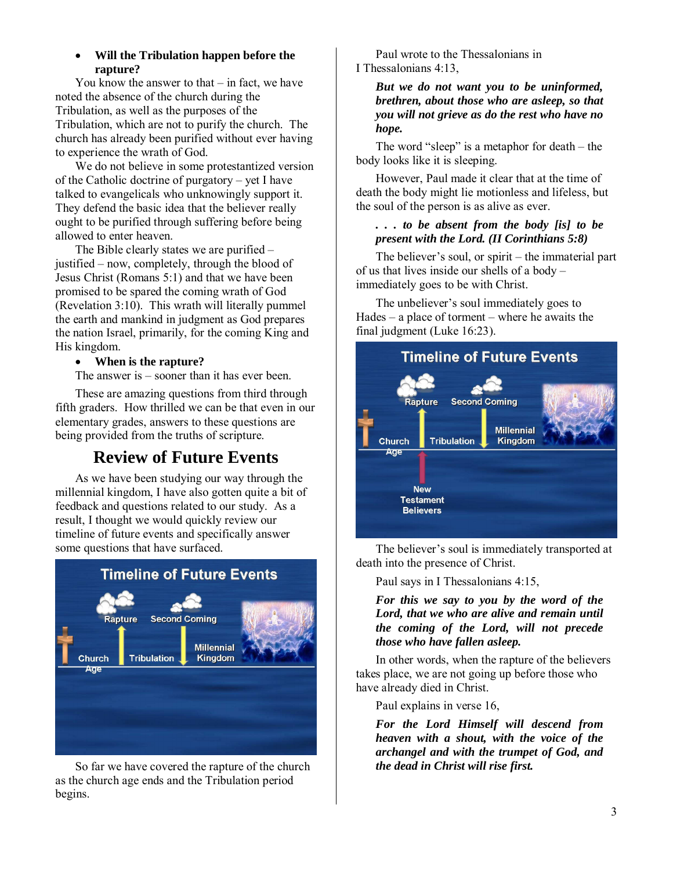#### • **Will the Tribulation happen before the rapture?**

You know the answer to that  $-$  in fact, we have noted the absence of the church during the Tribulation, as well as the purposes of the Tribulation, which are not to purify the church. The church has already been purified without ever having to experience the wrath of God.

We do not believe in some protestantized version of the Catholic doctrine of purgatory – yet I have talked to evangelicals who unknowingly support it. They defend the basic idea that the believer really ought to be purified through suffering before being allowed to enter heaven.

The Bible clearly states we are purified – justified – now, completely, through the blood of Jesus Christ (Romans 5:1) and that we have been promised to be spared the coming wrath of God (Revelation 3:10). This wrath will literally pummel the earth and mankind in judgment as God prepares the nation Israel, primarily, for the coming King and His kingdom.

#### • **When is the rapture?**

The answer is – sooner than it has ever been.

These are amazing questions from third through fifth graders. How thrilled we can be that even in our elementary grades, answers to these questions are being provided from the truths of scripture.

## **Review of Future Events**

As we have been studying our way through the millennial kingdom, I have also gotten quite a bit of feedback and questions related to our study. As a result, I thought we would quickly review our timeline of future events and specifically answer some questions that have surfaced.



So far we have covered the rapture of the church as the church age ends and the Tribulation period begins.

Paul wrote to the Thessalonians in I Thessalonians 4:13,

> *But we do not want you to be uninformed, brethren, about those who are asleep, so that you will not grieve as do the rest who have no hope.*

The word "sleep" is a metaphor for death – the body looks like it is sleeping.

However, Paul made it clear that at the time of death the body might lie motionless and lifeless, but the soul of the person is as alive as ever.

#### *. . . to be absent from the body [is] to be present with the Lord. (II Corinthians 5:8)*

The believer's soul, or spirit – the immaterial part of us that lives inside our shells of a body – immediately goes to be with Christ.

The unbeliever's soul immediately goes to Hades – a place of torment – where he awaits the final judgment (Luke 16:23).



The believer's soul is immediately transported at death into the presence of Christ.

Paul says in I Thessalonians 4:15,

*For this we say to you by the word of the Lord, that we who are alive and remain until the coming of the Lord, will not precede those who have fallen asleep.* 

In other words, when the rapture of the believers takes place, we are not going up before those who have already died in Christ.

Paul explains in verse 16,

*For the Lord Himself will descend from heaven with a shout, with the voice of the archangel and with the trumpet of God, and the dead in Christ will rise first.*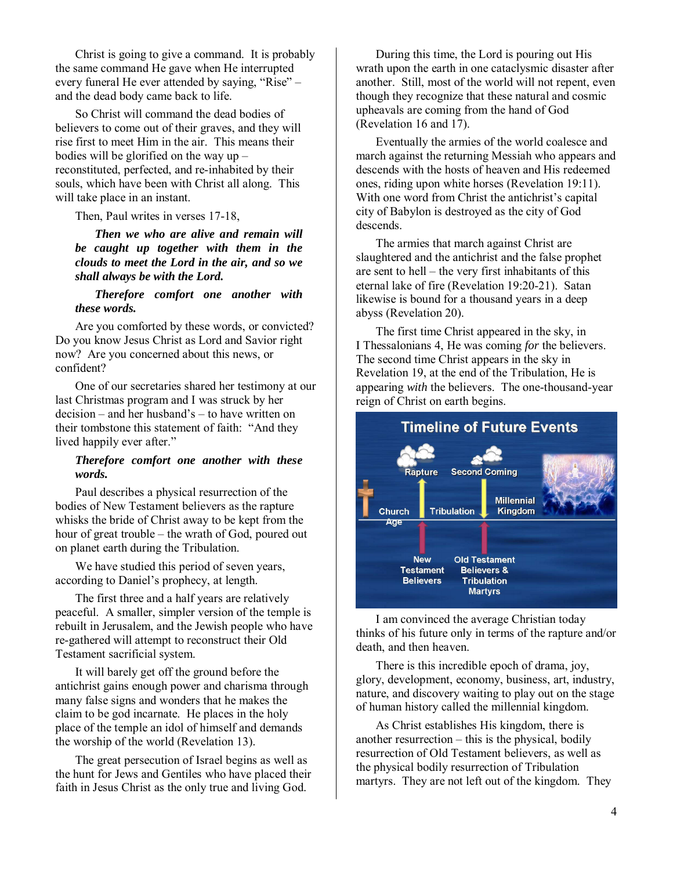Christ is going to give a command. It is probably the same command He gave when He interrupted every funeral He ever attended by saying, "Rise" – and the dead body came back to life.

So Christ will command the dead bodies of believers to come out of their graves, and they will rise first to meet Him in the air. This means their bodies will be glorified on the way up – reconstituted, perfected, and re-inhabited by their souls, which have been with Christ all along. This will take place in an instant.

Then, Paul writes in verses 17-18,

*Then we who are alive and remain will be caught up together with them in the clouds to meet the Lord in the air, and so we shall always be with the Lord.* 

#### *Therefore comfort one another with these words.*

Are you comforted by these words, or convicted? Do you know Jesus Christ as Lord and Savior right now? Are you concerned about this news, or confident?

One of our secretaries shared her testimony at our last Christmas program and I was struck by her decision – and her husband's – to have written on their tombstone this statement of faith: "And they lived happily ever after."

#### *Therefore comfort one another with these words.*

Paul describes a physical resurrection of the bodies of New Testament believers as the rapture whisks the bride of Christ away to be kept from the hour of great trouble – the wrath of God, poured out on planet earth during the Tribulation.

We have studied this period of seven years, according to Daniel's prophecy, at length.

The first three and a half years are relatively peaceful. A smaller, simpler version of the temple is rebuilt in Jerusalem, and the Jewish people who have re-gathered will attempt to reconstruct their Old Testament sacrificial system.

It will barely get off the ground before the antichrist gains enough power and charisma through many false signs and wonders that he makes the claim to be god incarnate. He places in the holy place of the temple an idol of himself and demands the worship of the world (Revelation 13).

The great persecution of Israel begins as well as the hunt for Jews and Gentiles who have placed their faith in Jesus Christ as the only true and living God.

During this time, the Lord is pouring out His wrath upon the earth in one cataclysmic disaster after another. Still, most of the world will not repent, even though they recognize that these natural and cosmic upheavals are coming from the hand of God (Revelation 16 and 17).

Eventually the armies of the world coalesce and march against the returning Messiah who appears and descends with the hosts of heaven and His redeemed ones, riding upon white horses (Revelation 19:11). With one word from Christ the antichrist's capital city of Babylon is destroyed as the city of God descends.

The armies that march against Christ are slaughtered and the antichrist and the false prophet are sent to hell – the very first inhabitants of this eternal lake of fire (Revelation 19:20-21). Satan likewise is bound for a thousand years in a deep abyss (Revelation 20).

The first time Christ appeared in the sky, in I Thessalonians 4, He was coming *for* the believers. The second time Christ appears in the sky in Revelation 19, at the end of the Tribulation, He is appearing *with* the believers. The one-thousand-year reign of Christ on earth begins.



I am convinced the average Christian today thinks of his future only in terms of the rapture and/or death, and then heaven.

There is this incredible epoch of drama, joy, glory, development, economy, business, art, industry, nature, and discovery waiting to play out on the stage of human history called the millennial kingdom.

As Christ establishes His kingdom, there is another resurrection – this is the physical, bodily resurrection of Old Testament believers, as well as the physical bodily resurrection of Tribulation martyrs. They are not left out of the kingdom. They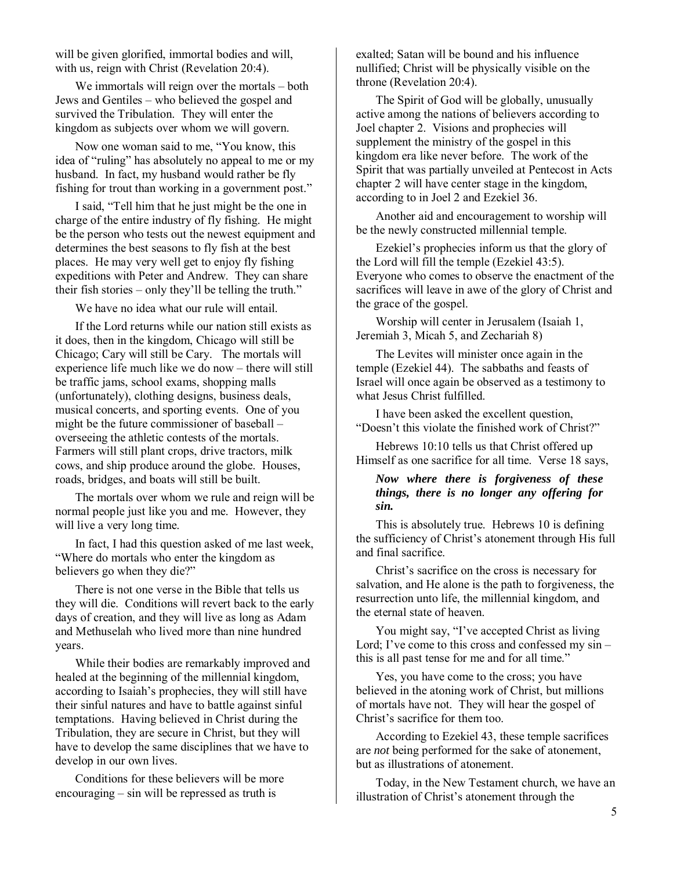will be given glorified, immortal bodies and will, with us, reign with Christ (Revelation 20:4).

We immortals will reign over the mortals – both Jews and Gentiles – who believed the gospel and survived the Tribulation. They will enter the kingdom as subjects over whom we will govern.

Now one woman said to me, "You know, this idea of "ruling" has absolutely no appeal to me or my husband. In fact, my husband would rather be fly fishing for trout than working in a government post."

I said, "Tell him that he just might be the one in charge of the entire industry of fly fishing. He might be the person who tests out the newest equipment and determines the best seasons to fly fish at the best places. He may very well get to enjoy fly fishing expeditions with Peter and Andrew. They can share their fish stories – only they'll be telling the truth."

We have no idea what our rule will entail.

If the Lord returns while our nation still exists as it does, then in the kingdom, Chicago will still be Chicago; Cary will still be Cary. The mortals will experience life much like we do now – there will still be traffic jams, school exams, shopping malls (unfortunately), clothing designs, business deals, musical concerts, and sporting events. One of you might be the future commissioner of baseball – overseeing the athletic contests of the mortals. Farmers will still plant crops, drive tractors, milk cows, and ship produce around the globe. Houses, roads, bridges, and boats will still be built.

The mortals over whom we rule and reign will be normal people just like you and me. However, they will live a very long time.

In fact, I had this question asked of me last week, "Where do mortals who enter the kingdom as believers go when they die?"

There is not one verse in the Bible that tells us they will die. Conditions will revert back to the early days of creation, and they will live as long as Adam and Methuselah who lived more than nine hundred years.

While their bodies are remarkably improved and healed at the beginning of the millennial kingdom, according to Isaiah's prophecies, they will still have their sinful natures and have to battle against sinful temptations. Having believed in Christ during the Tribulation, they are secure in Christ, but they will have to develop the same disciplines that we have to develop in our own lives.

Conditions for these believers will be more encouraging – sin will be repressed as truth is

exalted; Satan will be bound and his influence nullified; Christ will be physically visible on the throne (Revelation 20:4).

The Spirit of God will be globally, unusually active among the nations of believers according to Joel chapter 2. Visions and prophecies will supplement the ministry of the gospel in this kingdom era like never before. The work of the Spirit that was partially unveiled at Pentecost in Acts chapter 2 will have center stage in the kingdom, according to in Joel 2 and Ezekiel 36.

Another aid and encouragement to worship will be the newly constructed millennial temple.

Ezekiel's prophecies inform us that the glory of the Lord will fill the temple (Ezekiel 43:5). Everyone who comes to observe the enactment of the sacrifices will leave in awe of the glory of Christ and the grace of the gospel.

Worship will center in Jerusalem (Isaiah 1, Jeremiah 3, Micah 5, and Zechariah 8)

The Levites will minister once again in the temple (Ezekiel 44). The sabbaths and feasts of Israel will once again be observed as a testimony to what Jesus Christ fulfilled.

I have been asked the excellent question, "Doesn't this violate the finished work of Christ?"

Hebrews 10:10 tells us that Christ offered up Himself as one sacrifice for all time. Verse 18 says,

#### *Now where there is forgiveness of these things, there is no longer any offering for sin.*

This is absolutely true. Hebrews 10 is defining the sufficiency of Christ's atonement through His full and final sacrifice.

Christ's sacrifice on the cross is necessary for salvation, and He alone is the path to forgiveness, the resurrection unto life, the millennial kingdom, and the eternal state of heaven.

You might say, "I've accepted Christ as living Lord; I've come to this cross and confessed my sin – this is all past tense for me and for all time."

Yes, you have come to the cross; you have believed in the atoning work of Christ, but millions of mortals have not. They will hear the gospel of Christ's sacrifice for them too.

According to Ezekiel 43, these temple sacrifices are *not* being performed for the sake of atonement, but as illustrations of atonement.

Today, in the New Testament church, we have an illustration of Christ's atonement through the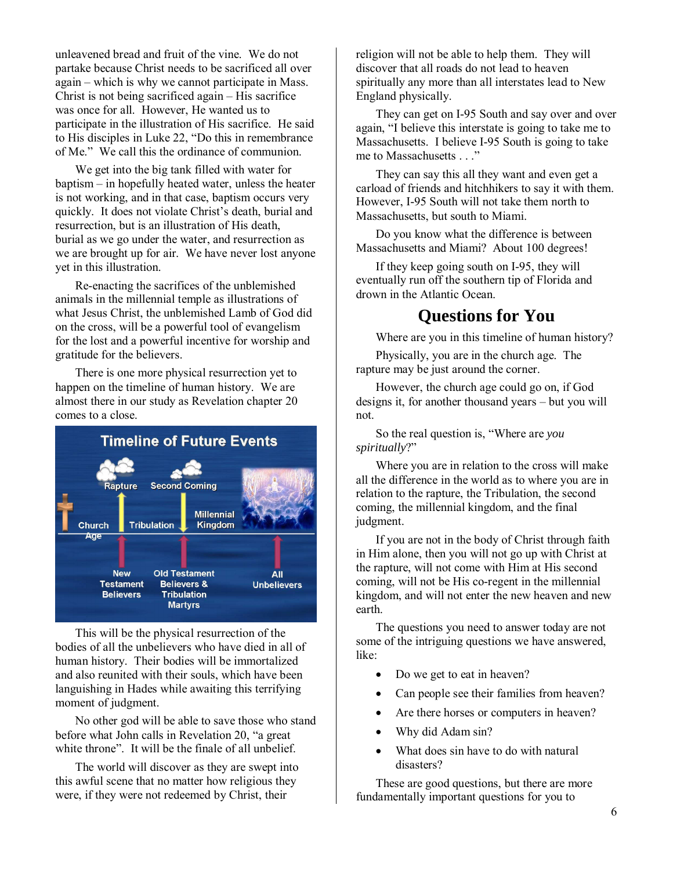unleavened bread and fruit of the vine. We do not partake because Christ needs to be sacrificed all over again – which is why we cannot participate in Mass. Christ is not being sacrificed again – His sacrifice was once for all. However, He wanted us to participate in the illustration of His sacrifice. He said to His disciples in Luke 22, "Do this in remembrance of Me." We call this the ordinance of communion.

We get into the big tank filled with water for baptism – in hopefully heated water, unless the heater is not working, and in that case, baptism occurs very quickly. It does not violate Christ's death, burial and resurrection, but is an illustration of His death, burial as we go under the water, and resurrection as we are brought up for air. We have never lost anyone yet in this illustration.

Re-enacting the sacrifices of the unblemished animals in the millennial temple as illustrations of what Jesus Christ, the unblemished Lamb of God did on the cross, will be a powerful tool of evangelism for the lost and a powerful incentive for worship and gratitude for the believers.

There is one more physical resurrection yet to happen on the timeline of human history. We are almost there in our study as Revelation chapter 20 comes to a close.



This will be the physical resurrection of the bodies of all the unbelievers who have died in all of human history. Their bodies will be immortalized and also reunited with their souls, which have been languishing in Hades while awaiting this terrifying moment of judgment.

No other god will be able to save those who stand before what John calls in Revelation 20, "a great white throne". It will be the finale of all unbelief.

The world will discover as they are swept into this awful scene that no matter how religious they were, if they were not redeemed by Christ, their

religion will not be able to help them. They will discover that all roads do not lead to heaven spiritually any more than all interstates lead to New England physically.

They can get on I-95 South and say over and over again, "I believe this interstate is going to take me to Massachusetts. I believe I-95 South is going to take me to Massachusetts . . ."

They can say this all they want and even get a carload of friends and hitchhikers to say it with them. However, I-95 South will not take them north to Massachusetts, but south to Miami.

Do you know what the difference is between Massachusetts and Miami? About 100 degrees!

If they keep going south on I-95, they will eventually run off the southern tip of Florida and drown in the Atlantic Ocean.

## **Questions for You**

Where are you in this timeline of human history?

Physically, you are in the church age. The rapture may be just around the corner.

However, the church age could go on, if God designs it, for another thousand years – but you will not.

So the real question is, "Where are *you spiritually*?"

Where you are in relation to the cross will make all the difference in the world as to where you are in relation to the rapture, the Tribulation, the second coming, the millennial kingdom, and the final judgment.

If you are not in the body of Christ through faith in Him alone, then you will not go up with Christ at the rapture, will not come with Him at His second coming, will not be His co-regent in the millennial kingdom, and will not enter the new heaven and new earth.

The questions you need to answer today are not some of the intriguing questions we have answered, like:

- Do we get to eat in heaven?
- Can people see their families from heaven?
- Are there horses or computers in heaven?
- Why did Adam sin?
- What does sin have to do with natural disasters?

These are good questions, but there are more fundamentally important questions for you to